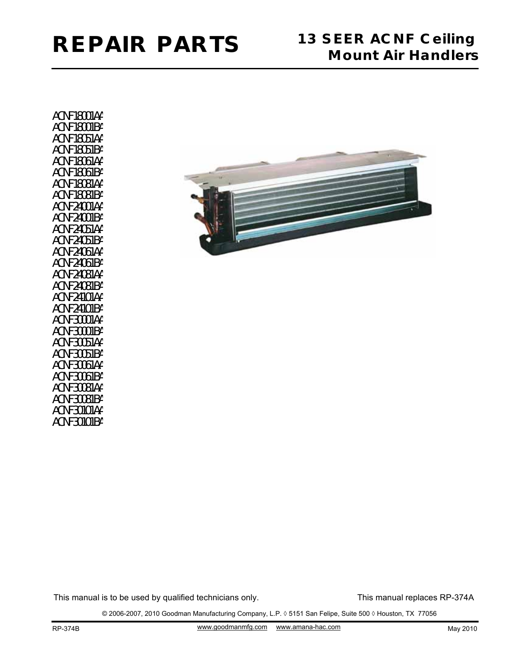ACNF18001AA ACNF18001BA ACNF18051AA ACNF18051BA ACNF18061AA ACNF18061BA ACNF18081AA ACNF18081BA ACNF24001AA ACNF24001BA ACNF24051AA ACNF24051BA ACNF24061AA ACNF24061BA ACNF24081AA ACNF24081BA ACNF24101AA ACNF24101BA ACNF30001AA ACNF30001BA ACNF30051AA ACNF30051BA ACNF30061AA ACNF30061BA ACNF30081AA ACNF30081BA ACNF30101AA ACNF30101BA



This manual is to be used by qualified technicians only.

This manual replaces RP-374A

© 2006-2007, 2010 Goodman Manufacturing Company, L.P. ◊ 5151 San Felipe, Suite 500 ◊ Houston, TX 77056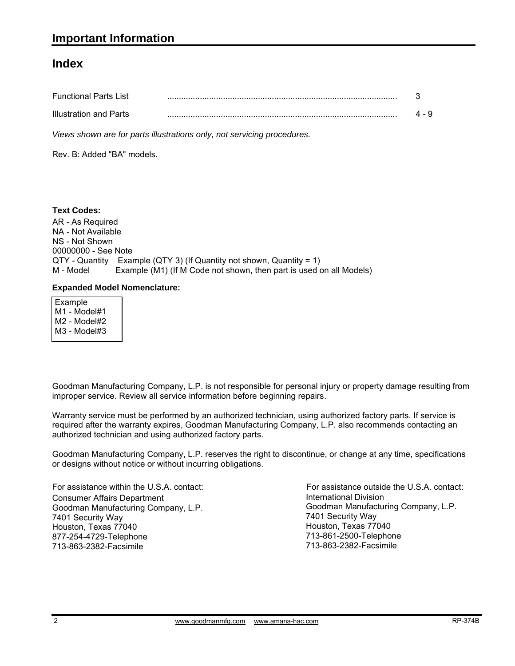#### **Index**

| <b>Functional Parts List</b> |  |
|------------------------------|--|
| Illustration and Parts       |  |

*Views shown are for parts illustrations only, not servicing procedures.*

Rev. B: Added "BA" models.

AR - As Required NA - Not Available NS - Not Shown 00000000 - See Note QTY - Quantity Example (QTY 3) (If Quantity not shown, Quantity = 1) M - Model Example (M1) (If M Code not shown, then part is used on all Models) **Text Codes:**

#### **Expanded Model Nomenclature:**

 Example M1 - Model#1 M2 - Model#2 M3 - Model#3

Goodman Manufacturing Company, L.P. is not responsible for personal injury or property damage resulting from improper service. Review all service information before beginning repairs.

Warranty service must be performed by an authorized technician, using authorized factory parts. If service is required after the warranty expires, Goodman Manufacturing Company, L.P. also recommends contacting an authorized technician and using authorized factory parts.

Goodman Manufacturing Company, L.P. reserves the right to discontinue, or change at any time, specifications or designs without notice or without incurring obligations.

For assistance within the U.S.A. contact: Consumer Affairs Department Goodman Manufacturing Company, L.P. 7401 Security Way Houston, Texas 77040 877-254-4729-Telephone 713-863-2382-Facsimile

International Division International Division<br>Goodman Manufacturing Company, L.P. 7401 Security Way Houston, Texas 77040 713-861-2500-Telephone 713-863-2382-Facsimile For assistance outside the U.S.A. contact: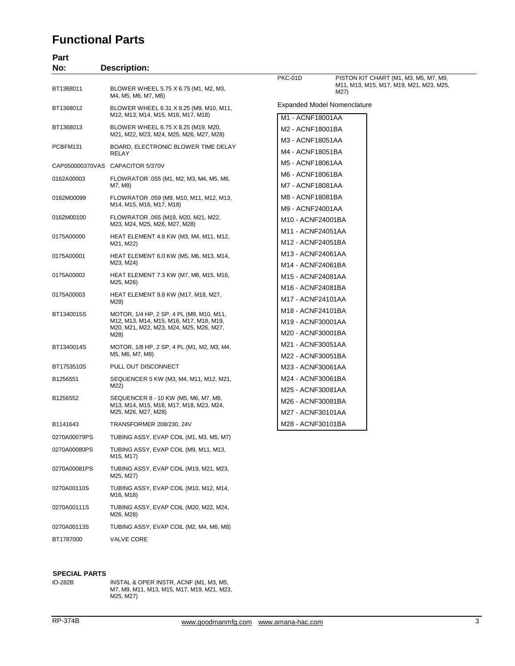## **Functional Parts**

| Part<br>No:  | <b>Description:</b>                                                                                                                    |                                                             |                                                 |
|--------------|----------------------------------------------------------------------------------------------------------------------------------------|-------------------------------------------------------------|-------------------------------------------------|
|              |                                                                                                                                        | PKC-01D                                                     | PISTON KIT CHART (M1, M3, M5, M7, M9,           |
| BT1368011    | BLOWER WHEEL 5.75 X 6.75 (M1, M2, M3,<br>M4, M5, M6, M7, M8)                                                                           |                                                             | M11, M13, M15, M17, M19, M21, M23, M25,<br>M27) |
| BT1368012    | BLOWER WHEEL 6.31 X 8.25 (M9, M10, M11,<br>M12, M13, M14, M15, M16, M17, M18)                                                          | M1 - ACNF18001AA                                            | <b>Expanded Model Nomenclature</b>              |
| BT1368013    | BLOWER WHEEL 6.75 X 8.25 (M19, M20,<br>M21, M22, M23, M24, M25, M26, M27, M28)                                                         | M2 - ACNF18001BA                                            |                                                 |
| PCBFM131     | BOARD, ELECTRONIC BLOWER TIME DELAY<br><b>RELAY</b>                                                                                    | M3 - ACNF18051AA<br>M4 - ACNF18051BA                        |                                                 |
|              | CAP050000370VAS CAPACITOR 5/370V                                                                                                       | M5 - ACNF18061AA                                            |                                                 |
| 0162A00003   | FLOWRATOR .055 (M1, M2, M3, M4, M5, M6,<br>M7, M8)                                                                                     | M6 - ACNF18061BA<br>M7 - ACNF18081AA                        |                                                 |
| 0162M00099   | FLOWRATOR .059 (M9, M10, M11, M12, M13,<br>M14, M15, M16, M17, M18)                                                                    | M8 - ACNF18081BA                                            |                                                 |
| 0162M00100   | FLOWRATOR .065 (M19, M20, M21, M22,<br>M23, M24, M25, M26, M27, M28)                                                                   | M9 - ACNF24001AA<br>M10 - ACNF24001BA                       |                                                 |
| 0175A00000   | HEAT ELEMENT 4.8 KW (M3, M4, M11, M12,<br>M21, M22)                                                                                    | M11 - ACNF24051AA<br>M12 - ACNF24051BA                      |                                                 |
| 0175A00001   | HEAT ELEMENT 6.0 KW (M5, M6, M13, M14,<br>M23, M24)                                                                                    | M13 - ACNF24061AA<br>M14 - ACNF24061BA                      |                                                 |
| 0175A00002   | HEAT ELEMENT 7.3 KW (M7, M8, M15, M16,<br>M25, M26)                                                                                    | M15 - ACNF24081AA                                           |                                                 |
| 0175A00003   | HEAT ELEMENT 9.8 KW (M17, M18, M27,<br>M28)                                                                                            | M16 - ACNF24081BA<br>M17 - ACNF24101AA                      |                                                 |
| BT1340015S   | MOTOR, 1/4 HP, 2 SP, 4 PL (M9, M10, M11,<br>M12, M13, M14, M15, M16, M17, M18, M19,<br>M20, M21, M22, M23, M24, M25, M26, M27,<br>M28) | M18 - ACNF24101BA<br>M19 - ACNF30001AA<br>M20 - ACNF30001BA |                                                 |
| BT1340014S   | MOTOR, 1/8 HP, 2 SP, 4 PL (M1, M2, M3, M4,<br>M5, M6, M7, M8)                                                                          | M21 - ACNF30051AA<br>M22 - ACNF30051BA                      |                                                 |
| BT1753510S   | PULL OUT DISCONNECT                                                                                                                    | M23 - ACNF30061AA                                           |                                                 |
| B1256551     | SEQUENCER 5 KW (M3, M4, M11, M12, M21,<br>M22)                                                                                         | M24 - ACNF30061BA<br>M25 - ACNF30081AA                      |                                                 |
| B1256552     | SEQUENCER 8 - 10 KW (M5, M6, M7, M8,<br>M13, M14, M15, M16, M17, M18, M23, M24,<br>M25, M26, M27, M28)                                 | M26 - ACNF30081BA<br>M27 - ACNF30101AA                      |                                                 |
| B1141643     | TRANSFORMER 208/230, 24V                                                                                                               | M28 - ACNF30101BA                                           |                                                 |
| 0270A00079PS | TUBING ASSY, EVAP COIL (M1, M3, M5, M7)                                                                                                |                                                             |                                                 |
| 0270A00080PS | TUBING ASSY, EVAP COIL (M9, M11, M13,<br>M15, M17)                                                                                     |                                                             |                                                 |
| 0270A00081PS | TUBING ASSY, EVAP COIL (M19, M21, M23,<br>M25, M27)                                                                                    |                                                             |                                                 |
| 0270A00110S  | TUBING ASSY, EVAP COIL (M10, M12, M14,<br>M16, M18)                                                                                    |                                                             |                                                 |
| 0270A00111S  | TUBING ASSY, EVAP COIL (M20, M22, M24,<br>M26, M28)                                                                                    |                                                             |                                                 |
| 0270A00113S  | TUBING ASSY, EVAP COIL (M2, M4, M6, M8)                                                                                                |                                                             |                                                 |

# **SPECIAL PARTS**

BT1787000 VALVE CORE

IO-282B INSTAL & OPER INSTR, ACNF (M1, M3, M5, M7, M9, M11, M13, M15, M17, M19, M21, M23, M25, M27)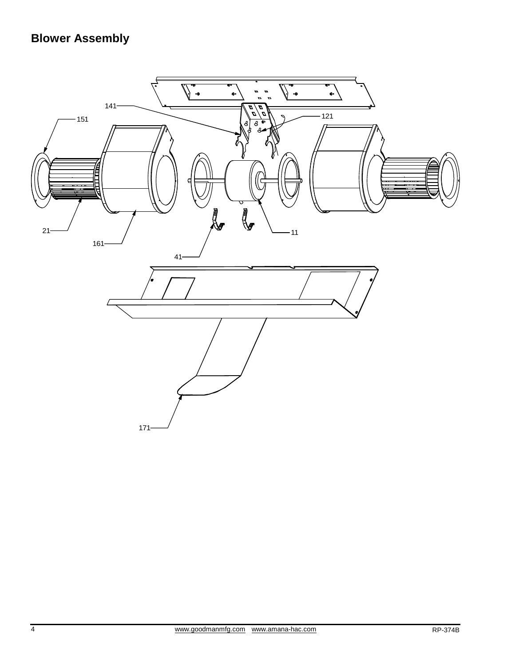# **Blower Assembly**

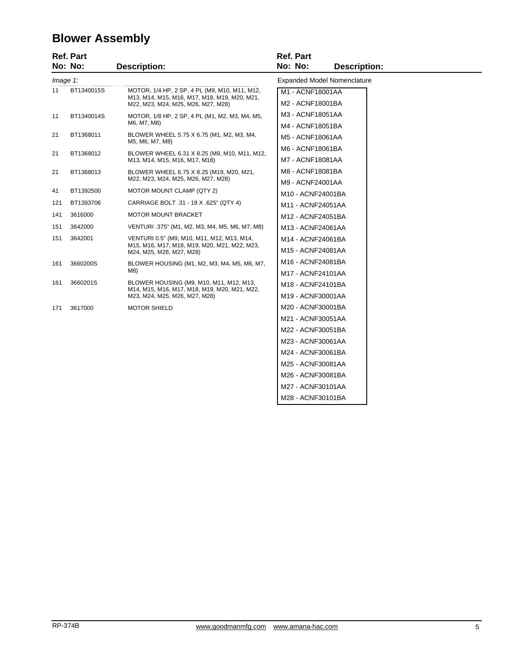## **Blower Assembly**

|                                                                               | <b>Ref. Part</b><br>No: No: | <b>Description:</b>                                                                                                      | <b>Ref. Part</b><br>No: No:<br><b>Description:</b> |
|-------------------------------------------------------------------------------|-----------------------------|--------------------------------------------------------------------------------------------------------------------------|----------------------------------------------------|
|                                                                               |                             |                                                                                                                          | <b>Expanded Model Nomenclature</b>                 |
| Image 1:<br>11<br>BT1340015S<br>MOTOR, 1/4 HP, 2 SP, 4 PL (M9, M10, M11, M12, |                             |                                                                                                                          |                                                    |
|                                                                               |                             | M13, M14, M15, M16, M17, M18, M19, M20, M21,<br>M22, M23, M24, M25, M26, M27, M28)                                       | M1 - ACNF18001AA<br>M2 - ACNF18001BA               |
| 11                                                                            | BT1340014S                  | MOTOR, 1/8 HP, 2 SP, 4 PL (M1, M2, M3, M4, M5,                                                                           | M3 - ACNF18051AA                                   |
|                                                                               |                             | M6, M7, M8)                                                                                                              | M4 - ACNF18051BA                                   |
| 21                                                                            | BT1368011                   | BLOWER WHEEL 5.75 X 6.75 (M1, M2, M3, M4,<br>M5, M6, M7, M8)                                                             | M5 - ACNF18061AA                                   |
| 21                                                                            | BT1368012                   | BLOWER WHEEL 6.31 X 8.25 (M9, M10, M11, M12,<br>M13, M14, M15, M16, M17, M18)                                            | M6 - ACNF18061BA<br>M7 - ACNF18081AA               |
| 21                                                                            | BT1368013                   | BLOWER WHEEL 6.75 X 8.25 (M19, M20, M21,                                                                                 | M8 - ACNF18081BA                                   |
|                                                                               |                             | M22, M23, M24, M25, M26, M27, M28)                                                                                       | M9 - ACNF24001AA                                   |
| 41                                                                            | BT1392500                   | MOTOR MOUNT CLAMP (QTY 2)                                                                                                | M10 - ACNF24001BA                                  |
| 121                                                                           | BT1393706                   | CARRIAGE BOLT .31 - 18 X .625" (QTY 4)                                                                                   | M11 - ACNF24051AA                                  |
| 141                                                                           | 3616000                     | <b>MOTOR MOUNT BRACKET</b>                                                                                               | M12 - ACNF24051BA                                  |
| 151                                                                           | 3642000                     | VENTURI .375" (M1, M2, M3, M4, M5, M6, M7, M8)                                                                           | M13 - ACNF24061AA                                  |
| 151                                                                           | 3642001                     | VENTURI 0.5" (M9, M10, M11, M12, M13, M14,                                                                               | M14 - ACNF24061BA                                  |
|                                                                               |                             | M15, M16, M17, M18, M19, M20, M21, M22, M23,<br>M24, M25, M26, M27, M28)                                                 | M15 - ACNF24081AA                                  |
| 161                                                                           | 3660200S                    | BLOWER HOUSING (M1, M2, M3, M4, M5, M6, M7,<br>M8)                                                                       | M16 - ACNF24081BA                                  |
|                                                                               |                             |                                                                                                                          | M17 - ACNF24101AA                                  |
| 161                                                                           | 3660201S                    | BLOWER HOUSING (M9, M10, M11, M12, M13,<br>M14, M15, M16, M17, M18, M19, M20, M21, M22,<br>M23, M24, M25, M26, M27, M28) | M18 - ACNF24101BA                                  |
|                                                                               |                             |                                                                                                                          | M19 - ACNF30001AA                                  |
| 171                                                                           | 3617000                     | <b>MOTOR SHIELD</b>                                                                                                      | M20 - ACNF30001BA                                  |
|                                                                               |                             |                                                                                                                          | M21 - ACNF30051AA                                  |
|                                                                               |                             |                                                                                                                          | M22 - ACNF30051BA                                  |
|                                                                               |                             |                                                                                                                          | M23 - ACNF30061AA                                  |
|                                                                               |                             |                                                                                                                          | M24 - ACNF30061BA                                  |
|                                                                               |                             |                                                                                                                          | M25 - ACNF30081AA                                  |
|                                                                               |                             |                                                                                                                          | M26 - ACNF30081BA                                  |
|                                                                               |                             |                                                                                                                          | M27 - ACNF30101AA                                  |
|                                                                               |                             |                                                                                                                          | M28 - ACNF30101BA                                  |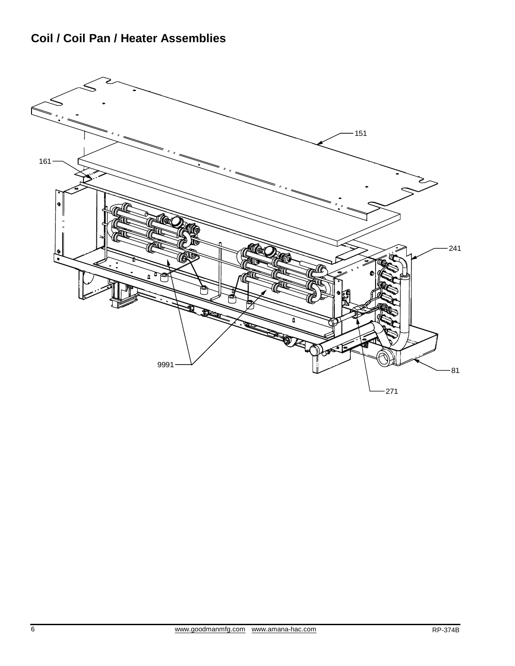## **Coil / Coil Pan / Heater Assemblies**

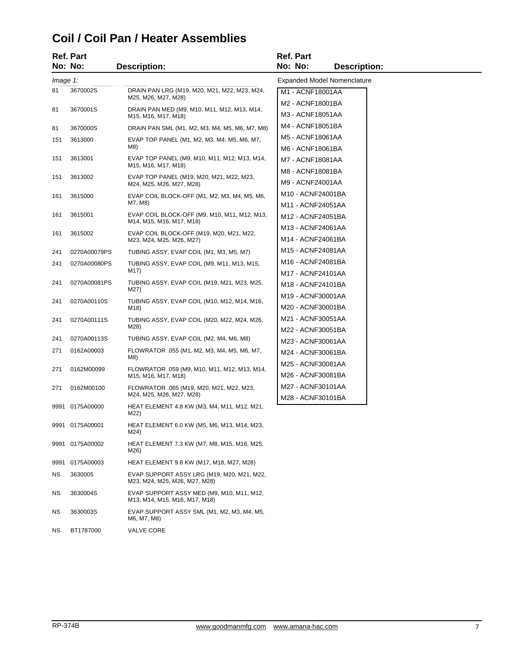### **Coil / Coil Pan / Heater Assemblies**

|          | Ref. Part       |                                                                             | <b>Ref. Part</b>                       |
|----------|-----------------|-----------------------------------------------------------------------------|----------------------------------------|
|          | No: No:         | <b>Description:</b>                                                         | No: No:<br><b>Description:</b>         |
| Image 1: |                 |                                                                             | <b>Expanded Model Nomenclature</b>     |
| 81       | 3670002S        | DRAIN PAN LRG (M19, M20, M21, M22, M23, M24,<br>M25, M26, M27, M28)         | M1 - ACNF18001AA                       |
| 81       | 3670001S        | DRAIN PAN MED (M9, M10, M11, M12, M13, M14,<br>M15, M16, M17, M18)          | M2 - ACNF18001BA<br>M3 - ACNF18051AA   |
| 81       | 3670000S        | DRAIN PAN SML (M1, M2, M3, M4, M5, M6, M7, M8)                              | M4 - ACNF18051BA                       |
| 151      | 3613000         | EVAP TOP PANEL (M1, M2, M3, M4, M5, M6, M7,<br>M8)                          | M5 - ACNF18061AA<br>M6 - ACNF18061BA   |
| 151      | 3613001         | EVAP TOP PANEL (M9, M10, M11, M12, M13, M14,<br>M15, M16, M17, M18)         | M7 - ACNF18081AA                       |
| 151      | 3613002         | EVAP TOP PANEL (M19, M20, M21, M22, M23,<br>M24, M25, M26, M27, M28)        | M8 - ACNF18081BA<br>M9 - ACNF24001AA   |
| 161      | 3615000         | EVAP COIL BLOCK-OFF (M1, M2, M3, M4, M5, M6,<br>M7, M8)                     | M10 - ACNF24001BA<br>M11 - ACNF24051AA |
| 161      | 3615001         | EVAP COIL BLOCK-OFF (M9, M10, M11, M12, M13,<br>M14, M15, M16, M17, M18)    | M12 - ACNF24051BA                      |
| 161      | 3615002         | EVAP COIL BLOCK-OFF (M19, M20, M21, M22,<br>M23, M24, M25, M26, M27)        | M13 - ACNF24061AA<br>M14 - ACNF24061BA |
| 241      | 0270A00079PS    | TUBING ASSY, EVAP COIL (M1, M3, M5, M7)                                     | M15 - ACNF24081AA                      |
| 241      | 0270A00080PS    | TUBING ASSY, EVAP COIL (M9, M11, M13, M15,                                  | M16 - ACNF24081BA                      |
|          |                 | M17)                                                                        | M17 - ACNF24101AA                      |
| 241      | 0270A00081PS    | TUBING ASSY, EVAP COIL (M19, M21, M23, M25,<br>M27)                         | M18 - ACNF24101BA                      |
| 241      | 0270A00110S     | TUBING ASSY, EVAP COIL (M10, M12, M14, M16,                                 | M19 - ACNF30001AA                      |
|          |                 | M18)                                                                        | M20 - ACNF30001BA                      |
| 241      | 0270A00111S     | TUBING ASSY, EVAP COIL (M20, M22, M24, M26,<br>M28)                         | M21 - ACNF30051AA                      |
| 241      | 0270A00113S     | TUBING ASSY, EVAP COIL (M2, M4, M6, M8)                                     | M22 - ACNF30051BA<br>M23 - ACNF30061AA |
| 271      | 0162A00003      | FLOWRATOR .055 (M1, M2, M3, M4, M5, M6, M7,                                 | M24 - ACNF30061BA                      |
|          |                 | M8)                                                                         | M25 - ACNF30081AA                      |
| 271      | 0162M00099      | FLOWRATOR .059 (M9, M10, M11, M12, M13, M14,<br>M15, M16, M17, M18)         | M26 - ACNF30081BA                      |
| 271      | 0162M00100      | FLOWRATOR .065 (M19, M20, M21, M22, M23,<br>M24, M25, M26, M27, M28)        | M27 - ACNF30101AA                      |
|          | 9991 0175A00000 | HEAT ELEMENT 4.8 KW (M3, M4, M11, M12, M21,<br>M22)                         | M28 - ACNF30101BA                      |
|          | 9991 0175A00001 | HEAT ELEMENT 6.0 KW (M5, M6, M13, M14, M23,<br>M24)                         |                                        |
| 9991     | 0175A00002      | HEAT ELEMENT 7.3 KW (M7, M8, M15, M16, M25,<br>M26)                         |                                        |
| 9991     | 0175A00003      | HEAT ELEMENT 9.8 KW (M17, M18, M27, M28)                                    |                                        |
| ΝS       | 3630005         | EVAP SUPPORT ASSY LRG (M19, M20, M21, M22,<br>M23, M24, M25, M26, M27, M28) |                                        |
| ΝS       | 3630004S        | EVAP SUPPORT ASSY MED (M9, M10, M11, M12,<br>M13, M14, M15, M16, M17, M18)  |                                        |
| ΝS       | 3630003S        | EVAP SUPPORT ASSY SML (M1, M2, M3, M4, M5,<br>M6, M7, M8)                   |                                        |

NS BT1787000 VALVE CORE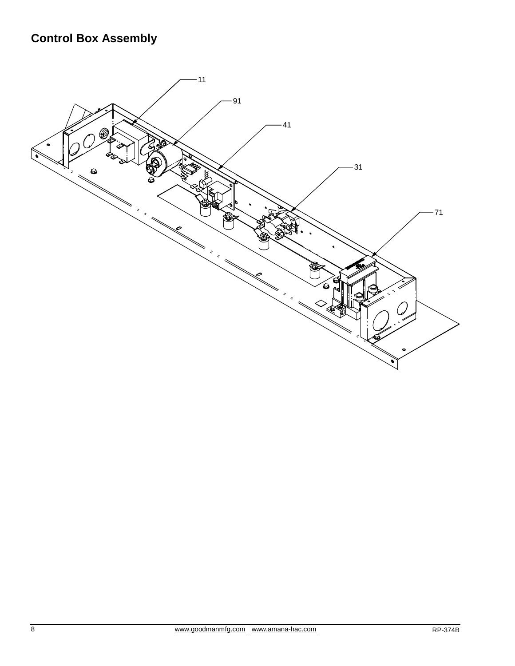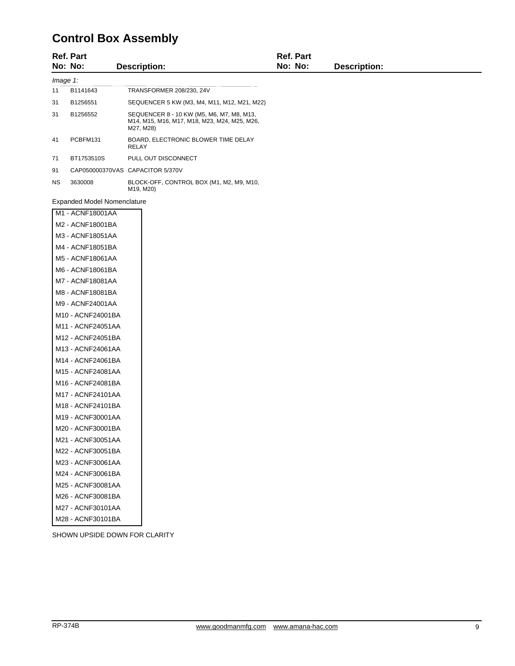## **Control Box Assembly**

|          | <b>Ref. Part</b><br>No: No: | <b>Description:</b>                                                                                    | <b>Ref. Part</b><br>No: No: | <b>Description:</b> |  |
|----------|-----------------------------|--------------------------------------------------------------------------------------------------------|-----------------------------|---------------------|--|
| Image 1: |                             |                                                                                                        |                             |                     |  |
| 11       | B1141643                    | TRANSFORMER 208/230, 24V                                                                               |                             |                     |  |
| 31       | B1256551                    | SEQUENCER 5 KW (M3, M4, M11, M12, M21, M22)                                                            |                             |                     |  |
| 31       | B1256552                    | SEQUENCER 8 - 10 KW (M5, M6, M7, M8, M13,<br>M14, M15, M16, M17, M18, M23, M24, M25, M26,<br>M27, M28) |                             |                     |  |
| 41       | PCBFM131                    | BOARD, ELECTRONIC BLOWER TIME DELAY<br>RELAY                                                           |                             |                     |  |
| 71       | BT1753510S                  | PULL OUT DISCONNECT                                                                                    |                             |                     |  |
| 91       |                             | CAP050000370VAS CAPACITOR 5/370V                                                                       |                             |                     |  |
| NS.      | 3630008                     | BLOCK-OFF, CONTROL BOX (M1, M2, M9, M10,<br>M19, M20)                                                  |                             |                     |  |

Expanded Model Nomenclature

| M1 - ACNF18001AA  |
|-------------------|
| M2 - ACNF18001BA  |
| M3 - ACNF18051AA  |
| M4 - ACNF18051BA  |
| M5 - ACNF18061AA  |
| M6 - ACNF18061BA  |
| M7 - ACNF18081AA  |
| M8 - ACNF18081BA  |
| M9 - ACNF24001AA  |
| M10 - ACNF24001BA |
| M11 - ACNF24051AA |
| M12 - ACNF24051BA |
| M13 - ACNF24061AA |
| M14 - ACNF24061BA |
| M15 - ACNF24081AA |
| M16 - ACNF24081BA |
| M17 - ACNF24101AA |
| M18 - ACNF24101BA |
| M19 - ACNF30001AA |
| M20 - ACNF30001BA |
| M21 - ACNF30051AA |
| M22 - ACNF30051BA |
| M23 - ACNF30061AA |
| M24 - ACNF30061BA |
| M25 - ACNF30081AA |
| M26 - ACNF30081BA |
| M27 - ACNF30101AA |
| M28 - ACNF30101BA |

SHOWN UPSIDE DOWN FOR CLARITY